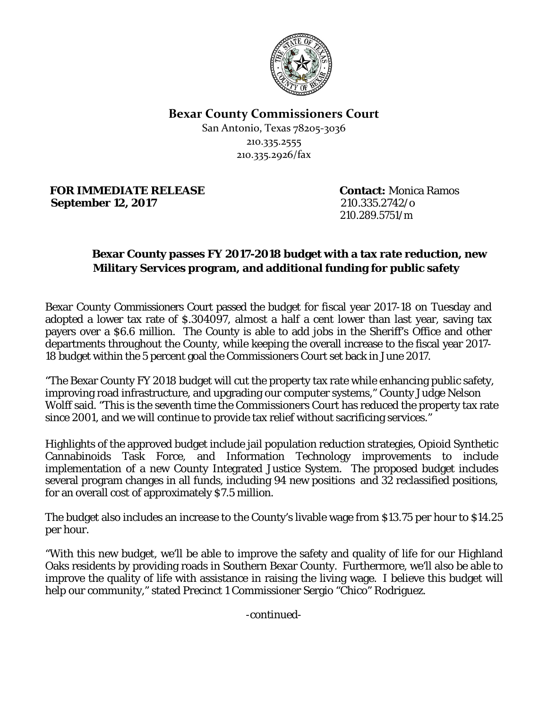

**Bexar County Commissioners Court**

San Antonio, Texas 78205-3036 210.335.2555 210.335.2926/fax

**FOR IMMEDIATE RELEASE Contact:** Monica Ramos **September 12, 2017** 210.335.2742/o

210.289.5751/m

## **Bexar County passes FY 2017-2018 budget with a tax rate reduction, new Military Services program, and additional funding for public safety**

Bexar County Commissioners Court passed the budget for fiscal year 2017-18 on Tuesday and adopted a lower tax rate of \$.304097, almost a half a cent lower than last year, saving tax payers over a \$6.6 million. The County is able to add jobs in the Sheriff's Office and other departments throughout the County, while keeping the overall increase to the fiscal year 2017- 18 budget within the 5 percent goal the Commissioners Court set back in June 2017.

"The Bexar County FY 2018 budget will cut the property tax rate while enhancing public safety, improving road infrastructure, and upgrading our computer systems," County Judge Nelson Wolff said. "This is the seventh time the Commissioners Court has reduced the property tax rate since 2001, and we will continue to provide tax relief without sacrificing services."

Highlights of the approved budget include jail population reduction strategies, Opioid Synthetic Cannabinoids Task Force, and Information Technology improvements to include implementation of a new County Integrated Justice System. The proposed budget includes several program changes in all funds, including 94 new positions and 32 reclassified positions, for an overall cost of approximately \$7.5 million.

The budget also includes an increase to the County's livable wage from \$13.75 per hour to \$14.25 per hour.

"With this new budget, we'll be able to improve the safety and quality of life for our Highland Oaks residents by providing roads in Southern Bexar County. Furthermore, we'll also be able to improve the quality of life with assistance in raising the living wage. I believe this budget will help our community," stated Precinct 1 Commissioner Sergio "Chico" Rodriguez.

*-continued-*